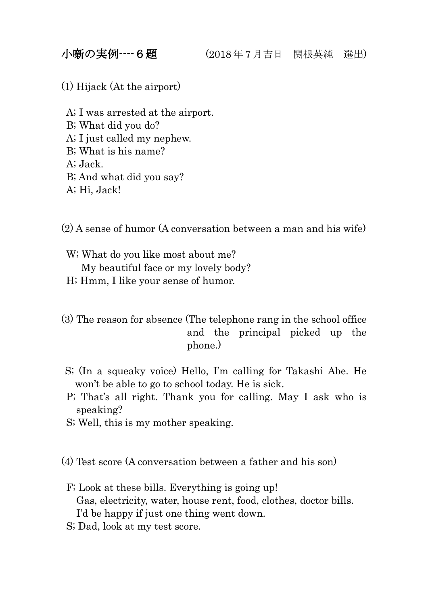(1) Hijack (At the airport)

A; I was arrested at the airport. B; What did you do? A; I just called my nephew. B; What is his name? A; Jack. B; And what did you say? A; Hi, Jack!

(2) A sense of humor (A conversation between a man and his wife)

W; What do you like most about me? My beautiful face or my lovely body?

H; Hmm, I like your sense of humor.

(3) The reason for absence (The telephone rang in the school office and the principal picked up the phone.)

- S; (In a squeaky voice) Hello, I'm calling for Takashi Abe. He won't be able to go to school today. He is sick.
- P; That's all right. Thank you for calling. May I ask who is speaking?
- S; Well, this is my mother speaking.

(4) Test score (A conversation between a father and his son)

- F; Look at these bills. Everything is going up! Gas, electricity, water, house rent, food, clothes, doctor bills. I'd be happy if just one thing went down.
- S; Dad, look at my test score.